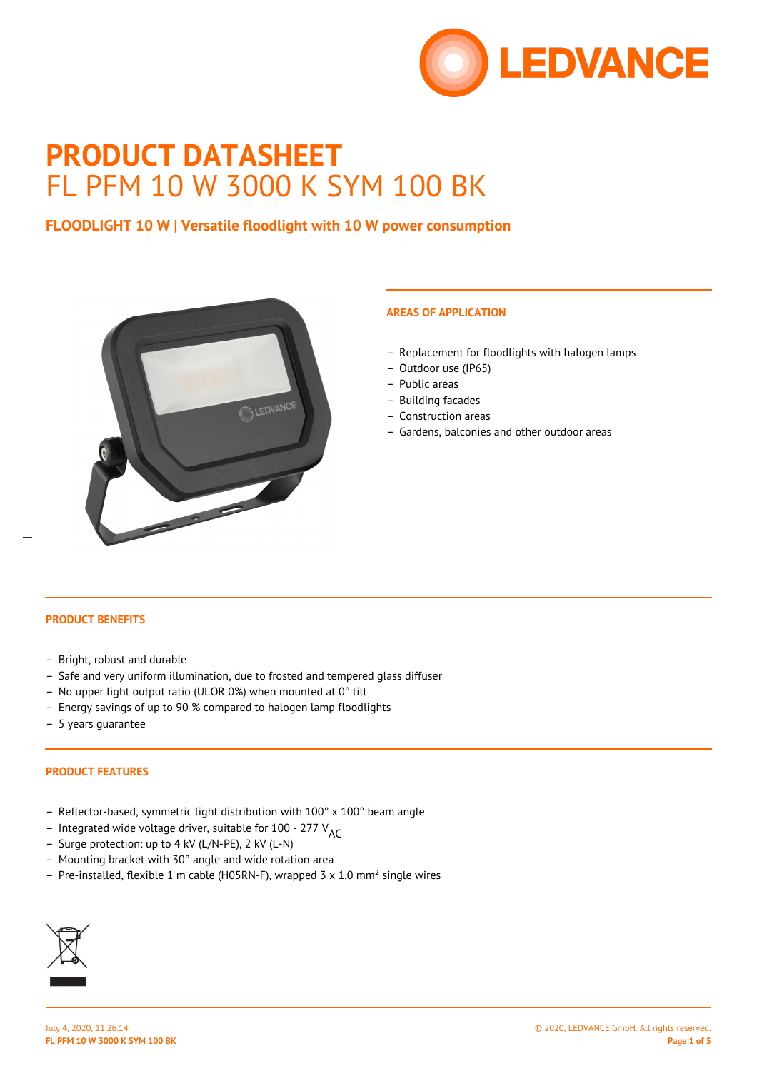

# **PRODUCT DATASHEET** FL PFM 10 W 3000 K SYM 100 BK

# **FLOODLIGHT 10 W | Versatile floodlight with 10 W power consumption**



# **AREAS OF APPLICATION**

- Replacement for floodlights with halogen lamps
- Outdoor use (IP65)
- Public areas
- Building facades
- Construction areas
- Gardens, balconies and other outdoor areas

# **PRODUCT BENEFITS**

 $\overline{a}$ 

- Bright, robust and durable
- Safe and very uniform illumination, due to frosted and tempered glass diffuser
- No upper light output ratio (ULOR 0%) when mounted at 0° tilt
- Energy savings of up to 90 % compared to halogen lamp floodlights
- 5 years guarantee

#### **PRODUCT FEATURES**

- Reflector-based, symmetric light distribution with 100° x 100° beam angle
- Integrated wide voltage driver, suitable for 100 277  $V_{\Delta}$
- Surge protection: up to 4 kV (L/N-PE), 2 kV (L-N)
- Mounting bracket with 30° angle and wide rotation area
- Pre-installed, flexible 1 m cable (H05RN-F), wrapped 3  $\times$  1.0 mm<sup>2</sup> single wires

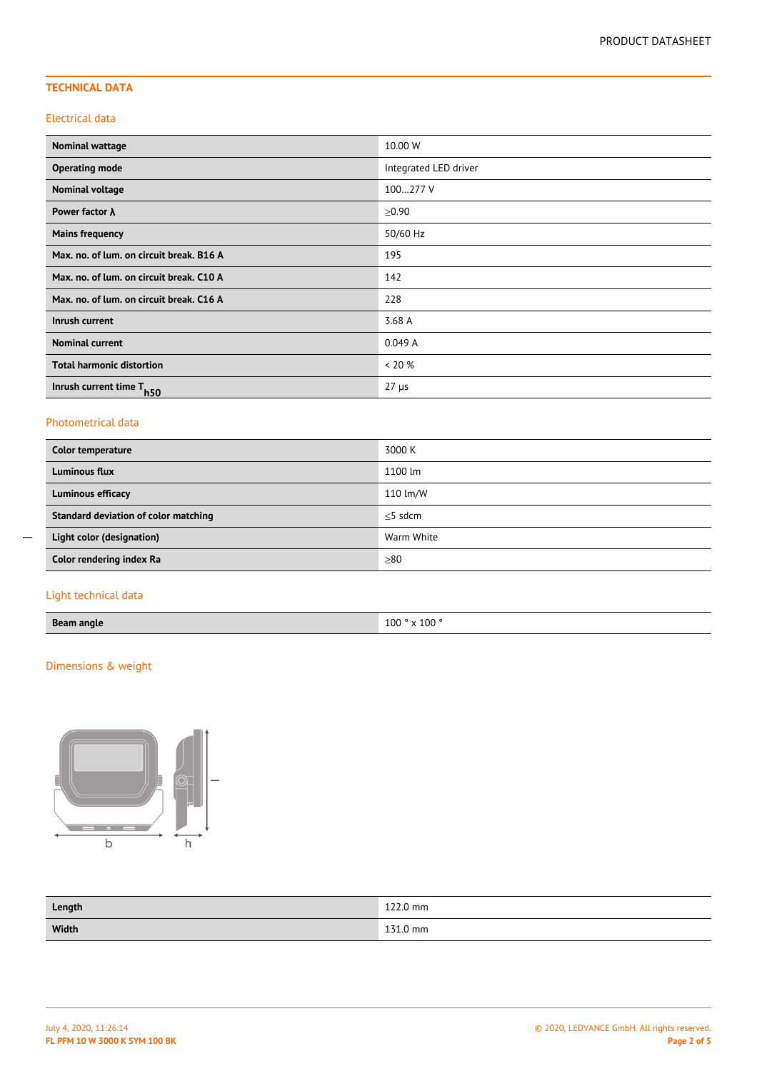# **TECHNICAL DATA**

#### Electrical data

| <b>Nominal wattage</b>                   | 10.00 W               |
|------------------------------------------|-----------------------|
| <b>Operating mode</b>                    | Integrated LED driver |
| <b>Nominal voltage</b>                   | 100277 V              |
| Power factor $\lambda$                   | $\ge 0.90$            |
| <b>Mains frequency</b>                   | 50/60 Hz              |
| Max. no. of lum. on circuit break. B16 A | 195                   |
| Max. no. of lum. on circuit break. C10 A | 142                   |
| Max. no. of lum. on circuit break. C16 A | 228                   |
| Inrush current                           | 3.68 A                |
| <b>Nominal current</b>                   | 0.049A                |
| <b>Total harmonic distortion</b>         | $< 20 \%$             |
| Inrush current time T <sub>h50</sub>     | $27 \mu s$            |

#### Photometrical data

| Color temperature                    | 3000 K     |
|--------------------------------------|------------|
| <b>Luminous flux</b>                 | 1100 lm    |
| <b>Luminous efficacy</b>             | 110 lm/W   |
| Standard deviation of color matching | $<$ 5 sdcm |
| Light color (designation)            | Warm White |
| Color rendering index Ra             | $\geq 80$  |

# Light technical data

 $\overline{a}$ 

# Dimensions & weight



| Length | 122.0 mm |
|--------|----------|
| Width  | 131.0 mm |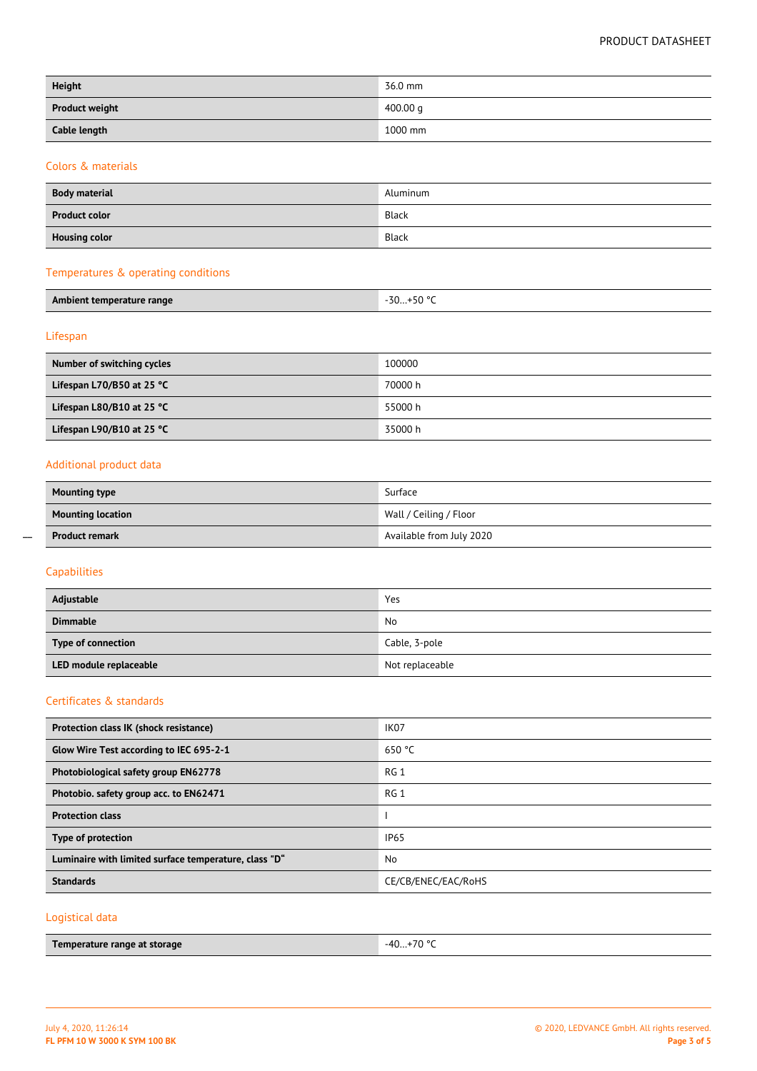#### PRODUCT DATASHEET

| <b>Height</b>         | 36.0 mm  |
|-----------------------|----------|
| <b>Product weight</b> | 400.00 q |
| Cable length          | 1000 mm  |

## Colors & materials

| <b>Body material</b> | Aluminum |
|----------------------|----------|
| <b>Product color</b> | Black    |
| <b>Housing color</b> | Black    |

## Temperatures & operating conditions

| Ambient<br>bient temperature range | $\overline{z}$<br>$\Gamma$ <sup>00</sup><br>. 57<br>- גער.<br>,,,, |
|------------------------------------|--------------------------------------------------------------------|
|                                    |                                                                    |

## Lifespan

| Number of switching cycles          | 100000  |
|-------------------------------------|---------|
| Lifespan L70/B50 at 25 $^{\circ}$ C | 70000 h |
| Lifespan L80/B10 at 25 $^{\circ}$ C | 55000 h |
| Lifespan L90/B10 at 25 $^{\circ}$ C | 35000 h |

#### Additional product data

| <b>Mounting type</b>     | Surface                  |
|--------------------------|--------------------------|
| <b>Mounting location</b> | Wall / Ceiling / Floor   |
| <b>Product remark</b>    | Available from July 2020 |

# Capabilities

 $\overline{a}$ 

| Adjustable             | Yes             |
|------------------------|-----------------|
| <b>Dimmable</b>        | No              |
| Type of connection     | Cable, 3-pole   |
| LED module replaceable | Not replaceable |

#### Certificates & standards

| Protection class IK (shock resistance)                | IK <sub>07</sub>    |
|-------------------------------------------------------|---------------------|
| Glow Wire Test according to IEC 695-2-1               | 650 °C              |
| Photobiological safety group EN62778                  | RG1                 |
| Photobio. safety group acc. to EN62471                | RG <sub>1</sub>     |
| <b>Protection class</b>                               |                     |
| Type of protection                                    | <b>IP65</b>         |
| Luminaire with limited surface temperature, class "D" | <b>No</b>           |
| <b>Standards</b>                                      | CE/CB/ENEC/EAC/RoHS |
|                                                       |                     |

# Logistical data

| Temperature range at storage | $+70$ °C<br>$-40$<br>. U |
|------------------------------|--------------------------|
|                              |                          |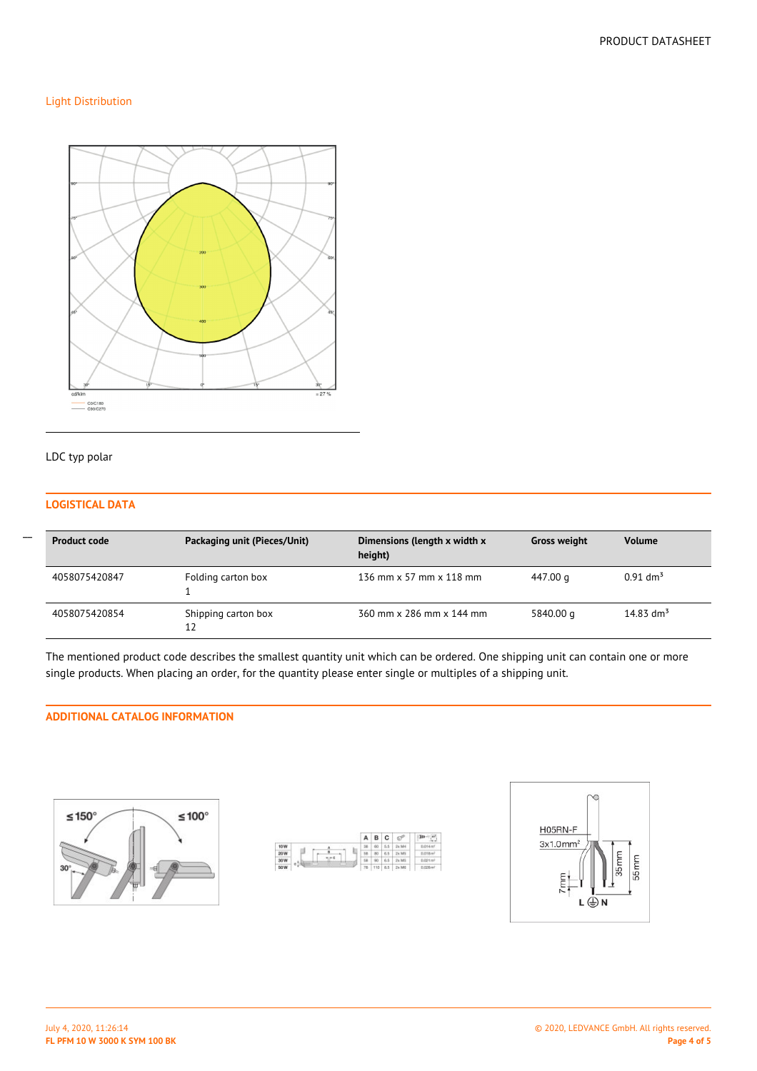### Light Distribution



#### LDC typ polar

## **LOGISTICAL DATA**

| <b>Product code</b> | Packaging unit (Pieces/Unit) | Dimensions (length x width x<br>height) | <b>Gross weight</b> | <b>Volume</b>          |
|---------------------|------------------------------|-----------------------------------------|---------------------|------------------------|
| 4058075420847       | Folding carton box           | 136 mm x 57 mm x 118 mm                 | 447.00 g            | $0.91$ dm <sup>3</sup> |
| 4058075420854       | Shipping carton box<br>12    | 360 mm x 286 mm x 144 mm                | 5840.00 g           | 14.83 dm <sup>3</sup>  |

The mentioned product code describes the smallest quantity unit which can be ordered. One shipping unit can contain one or more single products. When placing an order, for the quantity please enter single or multiples of a shipping unit.

# **ADDITIONAL CATALOG INFORMATION**







 $\overline{a}$